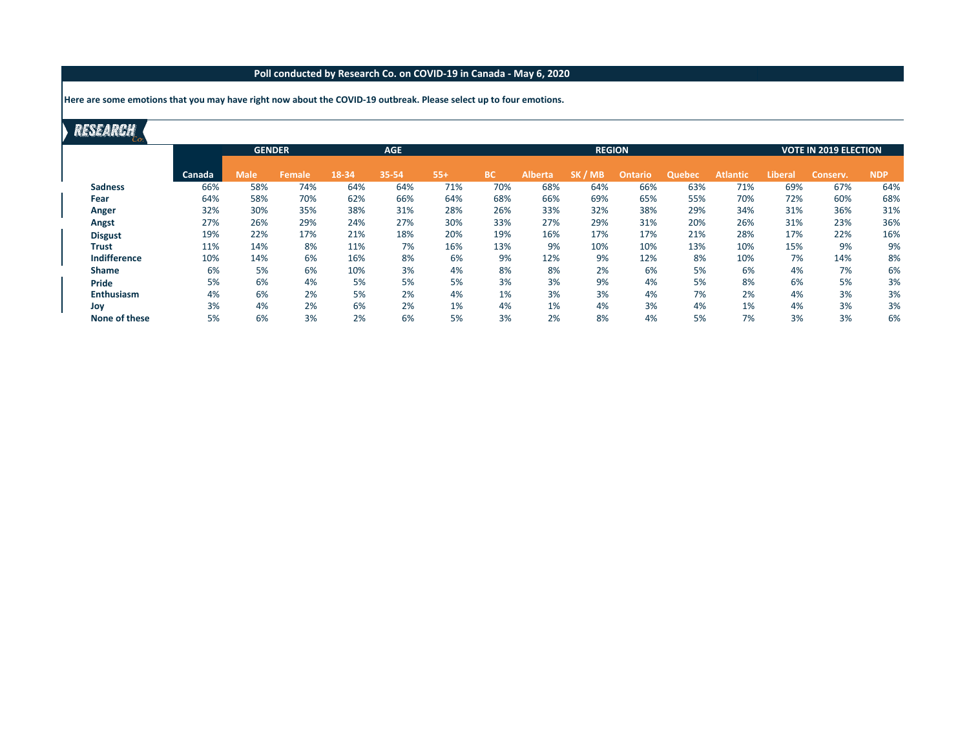**Here are some emotions that you may have right now about the COVID-19 outbreak. Please select up to four emotions.**

|                     |        | <b>GENDER</b> |               |       | <b>AGE</b> |       |           |                | <b>VOTE IN 2019 ELECTION</b> |                |               |                 |                |          |            |
|---------------------|--------|---------------|---------------|-------|------------|-------|-----------|----------------|------------------------------|----------------|---------------|-----------------|----------------|----------|------------|
|                     | Canada | <b>Male</b>   | <b>Female</b> | 18-34 | 35-54      | $55+$ | <b>BC</b> | <b>Alberta</b> | SK/<br><b>MB</b>             | <b>Ontario</b> | <b>Quebec</b> | <b>Atlantic</b> | <b>Liberal</b> | Conserv. | <b>NDP</b> |
| <b>Sadness</b>      | 66%    | 58%           | 74%           | 64%   | 64%        | 71%   | 70%       | 68%            | 64%                          | 66%            | 63%           | 71%             | 69%            | 67%      | 64%        |
| Fear                | 64%    | 58%           | 70%           | 62%   | 66%        | 64%   | 68%       | 66%            | 69%                          | 65%            | 55%           | 70%             | 72%            | 60%      | 68%        |
| Anger               | 32%    | 30%           | 35%           | 38%   | 31%        | 28%   | 26%       | 33%            | 32%                          | 38%            | 29%           | 34%             | 31%            | 36%      | 31%        |
| Angst               | 27%    | 26%           | 29%           | 24%   | 27%        | 30%   | 33%       | 27%            | 29%                          | 31%            | 20%           | 26%             | 31%            | 23%      | 36%        |
| <b>Disgust</b>      | 19%    | 22%           | 17%           | 21%   | 18%        | 20%   | 19%       | 16%            | 17%                          | 17%            | 21%           | 28%             | 17%            | 22%      | 16%        |
| <b>Trust</b>        | 11%    | 14%           | 8%            | 11%   | 7%         | 16%   | 13%       | 9%             | 10%                          | 10%            | 13%           | 10%             | 15%            | 9%       | 9%         |
| <b>Indifference</b> | 10%    | 14%           | 6%            | 16%   | 8%         | 6%    | 9%        | 12%            | 9%                           | 12%            | 8%            | 10%             | 7%             | 14%      | 8%         |
| <b>Shame</b>        | 6%     | 5%            | 6%            | 10%   | 3%         | 4%    | 8%        | 8%             | 2%                           | 6%             | 5%            | 6%              | 4%             | 7%       | 6%         |
| Pride               | 5%     | 6%            | 4%            | 5%    | 5%         | 5%    | 3%        | 3%             | 9%                           | 4%             | 5%            | 8%              | 6%             | 5%       | 3%         |
| <b>Enthusiasm</b>   | 4%     | 6%            | 2%            | 5%    | 2%         | 4%    | 1%        | 3%             | 3%                           | 4%             | 7%            | 2%              | 4%             | 3%       | 3%         |
| Joy                 | 3%     | 4%            | 2%            | 6%    | 2%         | 1%    | 4%        | 1%             | 4%                           | 3%             | 4%            | 1%              | 4%             | 3%       | 3%         |
| None of these       | 5%     | 6%            | 3%            | 2%    | 6%         | 5%    | 3%        | 2%             | 8%                           | 4%             | 5%            | 7%              | 3%             | 3%       | 6%         |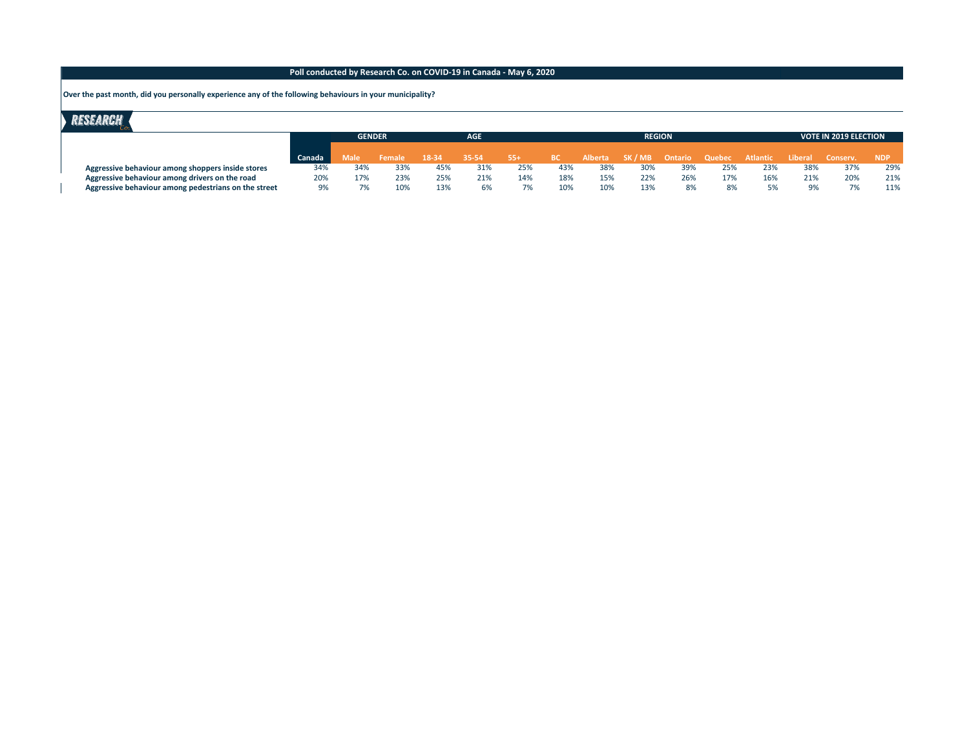**Over the past month, did you personally experience any of the following behaviours in your municipality?**

|                                                      |        | <b>GENDER</b> |        | <b>AGE</b> |       |       |      |     | <b>REGION</b>         |     | <b>VOTE IN 2019 ELECTION</b> |                           |     |     |     |
|------------------------------------------------------|--------|---------------|--------|------------|-------|-------|------|-----|-----------------------|-----|------------------------------|---------------------------|-----|-----|-----|
|                                                      |        |               |        |            |       |       |      |     |                       |     |                              |                           |     |     |     |
|                                                      | Canada | Male          | Female | 18-34      | 35-54 | $55+$ | - BC |     | Alberta SK/MB Ontario |     | Quebec                       | Atlantic Liberal Conserv. |     |     | NDP |
| Aggressive behaviour among shoppers inside stores    | 34%    | 34%           | 33%    | 45%        | 31%   | 25%   | 43%  | 38% | 30%                   | 39% | 25%                          | 23%                       | 38% | 37% | 29% |
| Aggressive behaviour among drivers on the road       | 20%    | 17%           | 23%    | 25%        | 21%   | 14%   | 18%  | 15% | 22%                   | 26% | 17%                          | 16%                       | 21% | 20% | 21% |
| Aggressive behaviour among pedestrians on the street | 9%     | 7%            | 10%    | 13%        | 6%    |       | 10%  | 10% | 13%                   | 8%  | 8%                           |                           | 9%  | 7%  | 11% |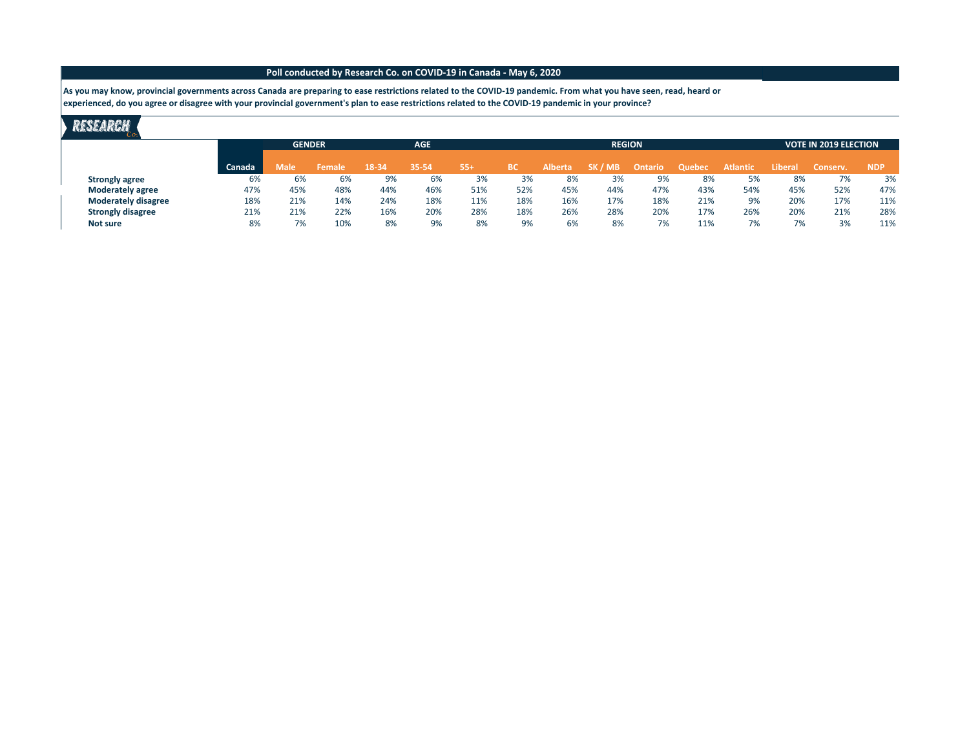**As you may know, provincial governments across Canada are preparing to ease restrictions related to the COVID-19 pandemic. From what you have seen, read, heard or experienced, do you agree or disagree with your provincial government's plan to ease restrictions related to the COVID-19 pandemic in your province?**

|                            |        |             | <b>GENDER</b> |       | <b>AGE</b> |       |     |                | <b>REGION</b> | <b>VOTE IN 2019 ELECTION</b> |        |                 |         |          |            |
|----------------------------|--------|-------------|---------------|-------|------------|-------|-----|----------------|---------------|------------------------------|--------|-----------------|---------|----------|------------|
|                            | Canada | <b>Male</b> | Female        | 18-34 | 35-54      | $55+$ | вс  | <b>Alberta</b> | SK / MB       | Ontario                      | Quebec | <b>Atlantic</b> | Liberal | Conserv. | <b>NDP</b> |
| <b>Strongly agree</b>      | 6%     | 6%          | 6%            | 9%    | 6%         | 3%    | 3%  | 8%             | 3%            | 9%                           | 8%     | 5%              | 8%      | 7%       | 3%         |
| <b>Moderately agree</b>    | 47%    | 45%         | 48%           | 44%   | 46%        | 51%   | 52% | 45%            | 44%           | 47%                          | 43%    | 54%             | 45%     | 52%      | 47%        |
| <b>Moderately disagree</b> | 18%    | 21%         | 14%           | 24%   | 18%        | 11%   | 18% | 16%            | 17%           | 18%                          | 21%    | 9%              | 20%     | 17%      | 11%        |
| <b>Strongly disagree</b>   | 21%    | 21%         | 22%           | 16%   | 20%        | 28%   | 18% | 26%            | 28%           | 20%                          | 17%    | 26%             | 20%     | 21%      | 28%        |
| Not sure                   | 8%     | 7%          | 10%           | 8%    | 9%         | 8%    | 9%  | 6%             | 8%            | 7%                           | 11%    | 7%              | 7%      | 3%       | 11%        |